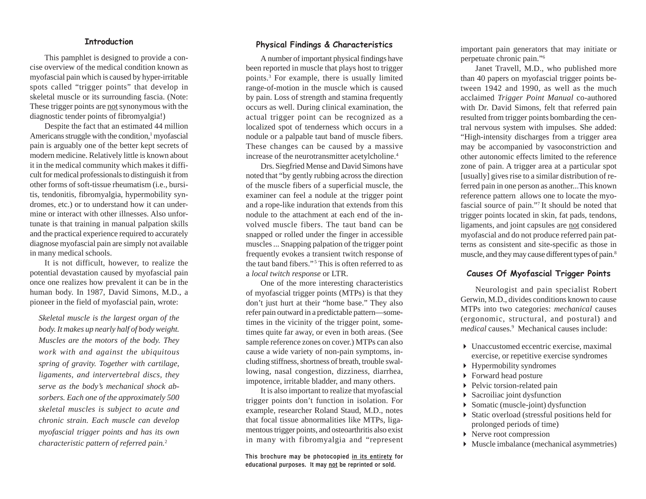#### **Introduction**

This pamphlet is designed to provide a concise overview of the medical condition known as myofascial pain which is caused by hyper-irritable spots called "trigger points" that develop in skeletal muscle or its surrounding fascia. (Note: These trigger points are not synonymous with the diagnostic tender points of fibromyalgia!)

Despite the fact that an estimated 44 million Americans struggle with the condition,<sup>1</sup> myofascial pain is arguably one of the better kept secrets of modern medicine. Relatively little is known about it in the medical community which makes it difficult for medical professionals to distinguish it from other forms of soft-tissue rheumatism (i.e., bursitis, tendonitis, fibromyalgia, hypermobility syndromes, etc.) or to understand how it can undermine or interact with other illnesses. Also unfortunate is that training in manual palpation skills and the practical experience required to accurately diagnose myofascial pain are simply not available in many medical schools.

It is not difficult, however, to realize the potential devastation caused by myofascial pain once one realizes how prevalent it can be in the human body. In 1987, David Simons, M.D., a pioneer in the field of myofascial pain, wrote:

*Skeletal muscle is the largest organ of the body. It makes up nearly half of body weight. Muscles are the motors of the body. They work with and against the ubiquitous spring of gravity. Together with cartilage, ligaments, and intervertebral discs, they serve as the body's mechanical shock absorbers. Each one of the approximately 500 skeletal muscles is subject to acute and chronic strain. Each muscle can develop myofascial trigger points and has its own characteristic pattern of referred pain.*<sup>2</sup>

## **Physical Findings & Characteristics**

A number of important physical findings have been reported in muscle that plays host to trigger points.3 For example, there is usually limited range-of-motion in the muscle which is caused by pain. Loss of strength and stamina frequently occurs as well. During clinical examination, the actual trigger point can be recognized as a localized spot of tenderness which occurs in a nodule or a palpable taut band of muscle fibers. These changes can be caused by a massive increase of the neurotransmitter acetylcholine.4

Drs. Siegfried Mense and David Simons have noted that "by gently rubbing across the direction of the muscle fibers of a superficial muscle, the examiner can feel a nodule at the trigger point and a rope-like induration that extends from this nodule to the attachment at each end of the involved muscle fibers. The taut band can be snapped or rolled under the finger in accessible muscles ... Snapping palpation of the trigger point frequently evokes a transient twitch response of the taut band fibers."<sup>5</sup> This is often referred to as a *local twitch response* or LTR.

One of the more interesting characteristics of myofascial trigger points (MTPs) is that they don't just hurt at their "home base." They also refer pain outward in a predictable pattern—sometimes in the vicinity of the trigger point, sometimes quite far away, or even in both areas. (See sample reference zones on cover.) MTPs can also cause a wide variety of non-pain symptoms, including stiffness, shortness of breath, trouble swallowing, nasal congestion, dizziness, diarrhea, impotence, irritable bladder, and many others.

It is also important to realize that myofascial trigger points don't function in isolation. For example, researcher Roland Staud, M.D., notes that focal tissue abnormalities like MTPs, ligamentous trigger points, and osteoarthritis also exist in many with fibromyalgia and "represent

**This brochure may be photocopied in its entirety for educational purposes. It may not be reprinted or sold.**

important pain generators that may initiate or perpetuate chronic pain."6

Janet Travell, M.D., who published more than 40 papers on myofascial trigger points between 1942 and 1990, as well as the much acclaimed *Trigger Point Manual* co-authored with Dr. David Simons, felt that referred pain resulted from trigger points bombarding the central nervous system with impulses. She added: "High-intensity discharges from a trigger area may be accompanied by vasoconstriction and other autonomic effects limited to the reference zone of pain. A trigger area at a particular spot [usually] gives rise to a similar distribution of referred pain in one person as another...This known reference pattern allows one to locate the myofascial source of pain."7 It should be noted that trigger points located in skin, fat pads, tendons, ligaments, and joint capsules are not considered myofascial and do not produce referred pain patterns as consistent and site-specific as those in muscle, and they may cause different types of pain.8

### **Causes Of Myofascial Trigger Points**

Neurologist and pain specialist Robert Gerwin, M.D., divides conditions known to cause MTPs into two categories: *mechanical* causes (ergonomic, structural, and postural) and *medical* causes.9 Mechanical causes include:

- Unaccustomed eccentric exercise, maximal exercise, or repetitive exercise syndromes
- Hypermobility syndromes
- ▶ Forward head posture
- Pelvic torsion-related pain
- Sacroiliac joint dysfunction
- Somatic (muscle-joint) dysfunction
- Static overload (stressful positions held for prolonged periods of time)
- $\triangleright$  Nerve root compression
- Muscle imbalance (mechanical asymmetries)